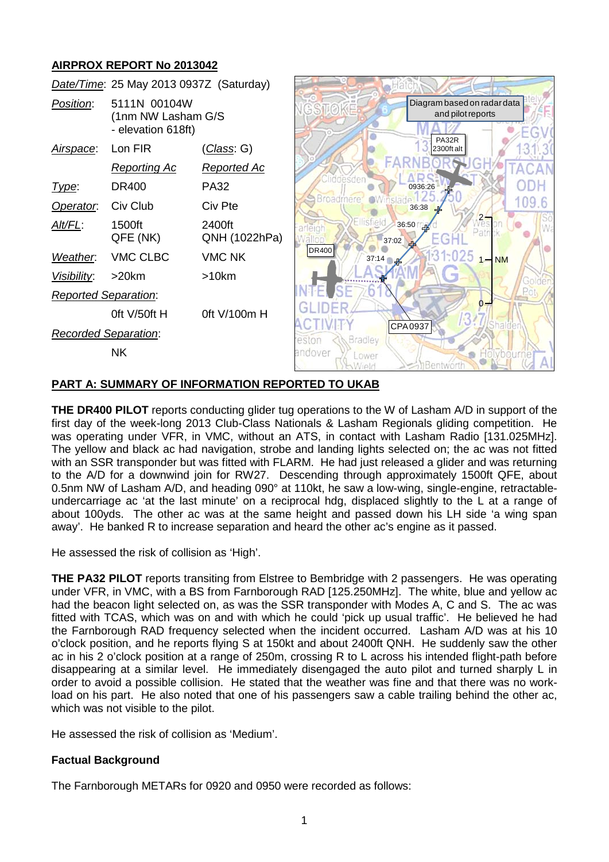# **AIRPROX REPORT No 2013042**



### **PART A: SUMMARY OF INFORMATION REPORTED TO UKAB**

**THE DR400 PILOT** reports conducting glider tug operations to the W of Lasham A/D in support of the first day of the week-long 2013 Club-Class Nationals & Lasham Regionals gliding competition. He was operating under VFR, in VMC, without an ATS, in contact with Lasham Radio [131.025MHz]. The yellow and black ac had navigation, strobe and landing lights selected on; the ac was not fitted with an SSR transponder but was fitted with FLARM. He had just released a glider and was returning to the A/D for a downwind join for RW27. Descending through approximately 1500ft QFE, about 0.5nm NW of Lasham A/D, and heading 090° at 110kt, he saw a low-wing, single-engine, retractableundercarriage ac 'at the last minute' on a reciprocal hdg, displaced slightly to the L at a range of about 100yds. The other ac was at the same height and passed down his LH side 'a wing span away'. He banked R to increase separation and heard the other ac's engine as it passed.

He assessed the risk of collision as 'High'.

**THE PA32 PILOT** reports transiting from Elstree to Bembridge with 2 passengers. He was operating under VFR, in VMC, with a BS from Farnborough RAD [125.250MHz]. The white, blue and yellow ac had the beacon light selected on, as was the SSR transponder with Modes A, C and S. The ac was fitted with TCAS, which was on and with which he could 'pick up usual traffic'. He believed he had the Farnborough RAD frequency selected when the incident occurred. Lasham A/D was at his 10 o'clock position, and he reports flying S at 150kt and about 2400ft QNH. He suddenly saw the other ac in his 2 o'clock position at a range of 250m, crossing R to L across his intended flight-path before disappearing at a similar level. He immediately disengaged the auto pilot and turned sharply L in order to avoid a possible collision. He stated that the weather was fine and that there was no workload on his part. He also noted that one of his passengers saw a cable trailing behind the other ac, which was not visible to the pilot.

He assessed the risk of collision as 'Medium'.

### **Factual Background**

The Farnborough METARs for 0920 and 0950 were recorded as follows: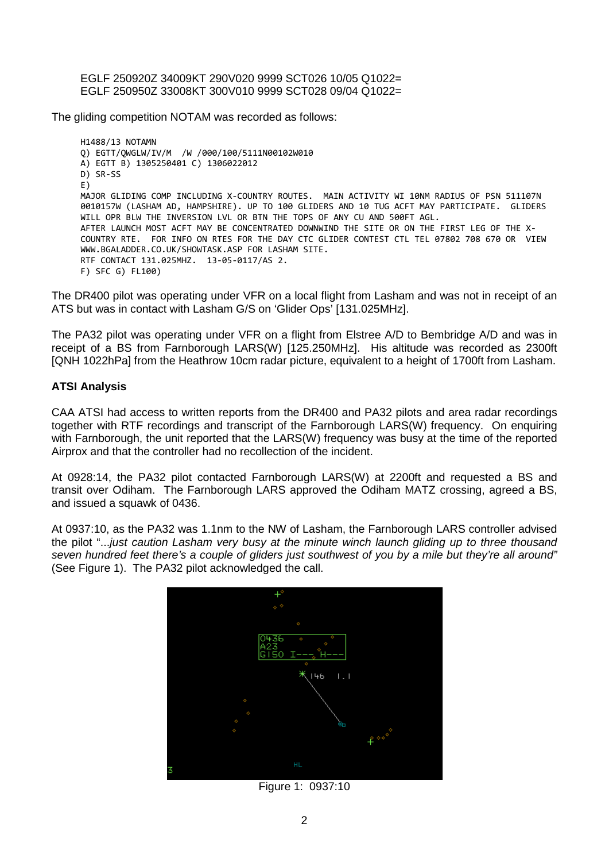EGLF 250920Z 34009KT 290V020 9999 SCT026 10/05 Q1022= EGLF 250950Z 33008KT 300V010 9999 SCT028 09/04 Q1022=

The gliding competition NOTAM was recorded as follows:

```
H1488/13 NOTAMN
Q) EGTT/QWGLW/IV/M /W /000/100/5111N00102W010
A) EGTT B) 1305250401 C) 1306022012
D) SR-SS
E)
MAJOR GLIDING COMP INCLUDING X-COUNTRY ROUTES. MAIN ACTIVITY WI 10NM RADIUS OF PSN 511107N 
0010157W (LASHAM AD, HAMPSHIRE). UP TO 100 GLIDERS AND 10 TUG ACFT MAY PARTICIPATE. GLIDERS 
WILL OPR BLW THE INVERSION LVL OR BTN THE TOPS OF ANY CU AND 500FT AGL.
AFTER LAUNCH MOST ACFT MAY BE CONCENTRATED DOWNWIND THE SITE OR ON THE FIRST LEG OF THE X-
COUNTRY RTE. FOR INFO ON RTES FOR THE DAY CTC GLIDER CONTEST CTL TEL 07802 708 670 OR VIEW 
WWW.BGALADDER.CO.UK/SHOWTASK.ASP FOR LASHAM SITE.
RTF CONTACT 131.025MHZ. 13-05-0117/AS 2.
F) SFC G) FL100)
```
The DR400 pilot was operating under VFR on a local flight from Lasham and was not in receipt of an ATS but was in contact with Lasham G/S on 'Glider Ops' [131.025MHz].

The PA32 pilot was operating under VFR on a flight from Elstree A/D to Bembridge A/D and was in receipt of a BS from Farnborough LARS(W) [125.250MHz]. His altitude was recorded as 2300ft [QNH 1022hPa] from the Heathrow 10cm radar picture, equivalent to a height of 1700ft from Lasham.

### **ATSI Analysis**

CAA ATSI had access to written reports from the DR400 and PA32 pilots and area radar recordings together with RTF recordings and transcript of the Farnborough LARS(W) frequency. On enquiring with Farnborough, the unit reported that the LARS(W) frequency was busy at the time of the reported Airprox and that the controller had no recollection of the incident.

At 0928:14, the PA32 pilot contacted Farnborough LARS(W) at 2200ft and requested a BS and transit over Odiham. The Farnborough LARS approved the Odiham MATZ crossing, agreed a BS, and issued a squawk of 0436.

At 0937:10, as the PA32 was 1.1nm to the NW of Lasham, the Farnborough LARS controller advised the pilot "...*just caution Lasham very busy at the minute winch launch gliding up to three thousand seven hundred feet there's a couple of gliders just southwest of you by a mile but they're all around"* (See Figure 1). The PA32 pilot acknowledged the call.



Figure 1: 0937:10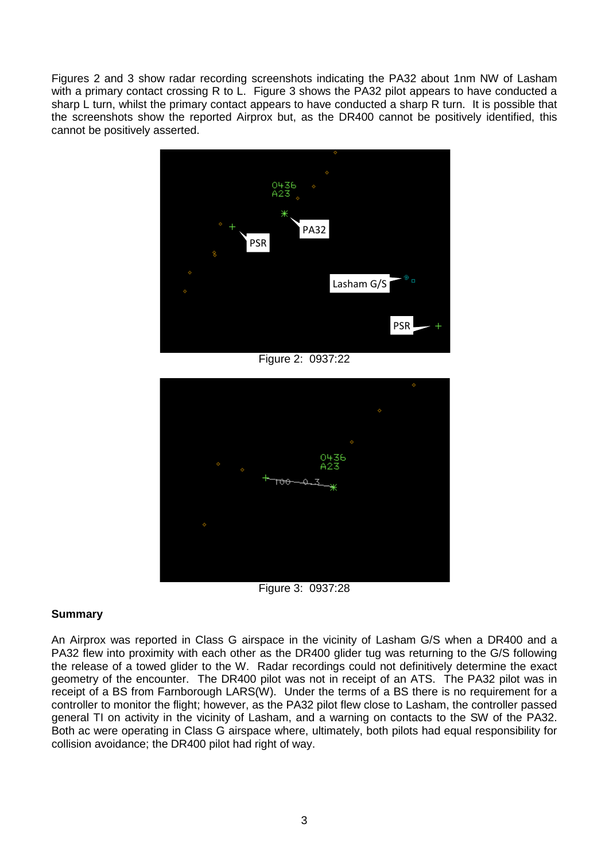Figures 2 and 3 show radar recording screenshots indicating the PA32 about 1nm NW of Lasham with a primary contact crossing R to L. Figure 3 shows the PA32 pilot appears to have conducted a sharp L turn, whilst the primary contact appears to have conducted a sharp R turn. It is possible that the screenshots show the reported Airprox but, as the DR400 cannot be positively identified, this cannot be positively asserted.



Figure 2: 0937:22



Figure 3: 0937:28

# **Summary**

An Airprox was reported in Class G airspace in the vicinity of Lasham G/S when a DR400 and a PA32 flew into proximity with each other as the DR400 glider tug was returning to the G/S following the release of a towed glider to the W. Radar recordings could not definitively determine the exact geometry of the encounter. The DR400 pilot was not in receipt of an ATS. The PA32 pilot was in receipt of a BS from Farnborough LARS(W). Under the terms of a BS there is no requirement for a controller to monitor the flight; however, as the PA32 pilot flew close to Lasham, the controller passed general TI on activity in the vicinity of Lasham, and a warning on contacts to the SW of the PA32. Both ac were operating in Class G airspace where, ultimately, both pilots had equal responsibility for collision avoidance; the DR400 pilot had right of way.